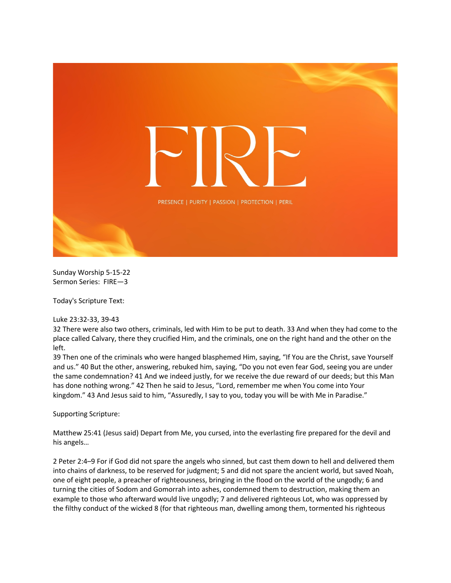

Sunday Worship 5-15-22 Sermon Series: FIRE—3

Today's Scripture Text:

Luke 23:32-33, 39-43

32 There were also two others, criminals, led with Him to be put to death. 33 And when they had come to the place called Calvary, there they crucified Him, and the criminals, one on the right hand and the other on the left.

39 Then one of the criminals who were hanged blasphemed Him, saying, "If You are the Christ, save Yourself and us." 40 But the other, answering, rebuked him, saying, "Do you not even fear God, seeing you are under the same condemnation? 41 And we indeed justly, for we receive the due reward of our deeds; but this Man has done nothing wrong." 42 Then he said to Jesus, "Lord, remember me when You come into Your kingdom." 43 And Jesus said to him, "Assuredly, I say to you, today you will be with Me in Paradise."

Supporting Scripture:

Matthew 25:41 (Jesus said) Depart from Me, you cursed, into the everlasting fire prepared for the devil and his angels…

2 Peter 2:4–9 For if God did not spare the angels who sinned, but cast them down to hell and delivered them into chains of darkness, to be reserved for judgment; 5 and did not spare the ancient world, but saved Noah, one of eight people, a preacher of righteousness, bringing in the flood on the world of the ungodly; 6 and turning the cities of Sodom and Gomorrah into ashes, condemned them to destruction, making them an example to those who afterward would live ungodly; 7 and delivered righteous Lot, who was oppressed by the filthy conduct of the wicked 8 (for that righteous man, dwelling among them, tormented his righteous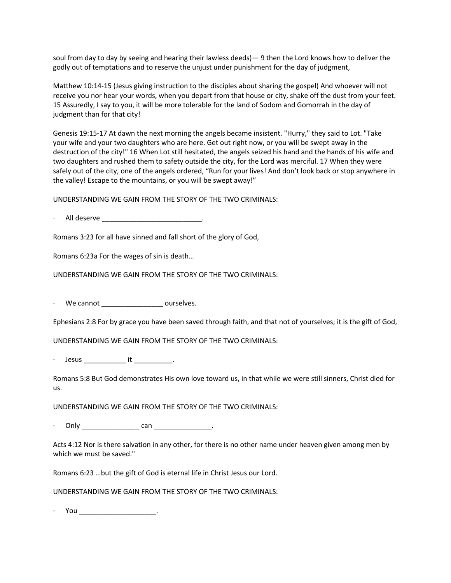soul from day to day by seeing and hearing their lawless deeds)— 9 then the Lord knows how to deliver the godly out of temptations and to reserve the unjust under punishment for the day of judgment,

Matthew 10:14-15 (Jesus giving instruction to the disciples about sharing the gospel) And whoever will not receive you nor hear your words, when you depart from that house or city, shake off the dust from your feet. 15 Assuredly, I say to you, it will be more tolerable for the land of Sodom and Gomorrah in the day of judgment than for that city!

Genesis 19:15-17 At dawn the next morning the angels became insistent. "Hurry," they said to Lot. "Take your wife and your two daughters who are here. Get out right now, or you will be swept away in the destruction of the city!" 16 When Lot still hesitated, the angels seized his hand and the hands of his wife and two daughters and rushed them to safety outside the city, for the Lord was merciful. 17 When they were safely out of the city, one of the angels ordered, "Run for your lives! And don't look back or stop anywhere in the valley! Escape to the mountains, or you will be swept away!"

UNDERSTANDING WE GAIN FROM THE STORY OF THE TWO CRIMINALS:

· All deserve \_\_\_\_\_\_\_\_\_\_\_\_\_\_\_\_\_\_\_\_\_\_\_\_\_\_.

Romans 3:23 for all have sinned and fall short of the glory of God,

Romans 6:23a For the wages of sin is death…

UNDERSTANDING WE GAIN FROM THE STORY OF THE TWO CRIMINALS:

We cannot \_\_\_\_\_\_\_\_\_\_\_\_\_\_\_\_\_\_\_\_\_ ourselves.

Ephesians 2:8 For by grace you have been saved through faith, and that not of yourselves; it is the gift of God,

UNDERSTANDING WE GAIN FROM THE STORY OF THE TWO CRIMINALS:

Jesus \_\_\_\_\_\_\_\_\_\_\_\_\_\_\_ it \_\_\_\_\_\_\_\_\_\_\_\_.

Romans 5:8 But God demonstrates His own love toward us, in that while we were still sinners, Christ died for us.

UNDERSTANDING WE GAIN FROM THE STORY OF THE TWO CRIMINALS:

· Only \_\_\_\_\_\_\_\_\_\_\_\_\_\_\_ can \_\_\_\_\_\_\_\_\_\_\_\_\_\_\_.

Acts 4:12 Nor is there salvation in any other, for there is no other name under heaven given among men by which we must be saved."

Romans 6:23 …but the gift of God is eternal life in Christ Jesus our Lord.

UNDERSTANDING WE GAIN FROM THE STORY OF THE TWO CRIMINALS:

· You \_\_\_\_\_\_\_\_\_\_\_\_\_\_\_\_\_\_\_\_.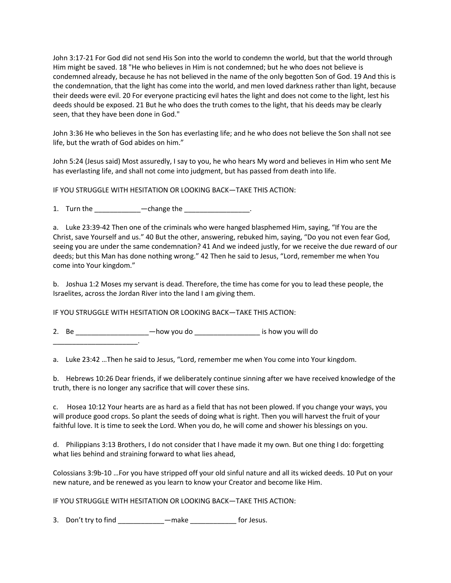John 3:17-21 For God did not send His Son into the world to condemn the world, but that the world through Him might be saved. 18 "He who believes in Him is not condemned; but he who does not believe is condemned already, because he has not believed in the name of the only begotten Son of God. 19 And this is the condemnation, that the light has come into the world, and men loved darkness rather than light, because their deeds were evil. 20 For everyone practicing evil hates the light and does not come to the light, lest his deeds should be exposed. 21 But he who does the truth comes to the light, that his deeds may be clearly seen, that they have been done in God."

John 3:36 He who believes in the Son has everlasting life; and he who does not believe the Son shall not see life, but the wrath of God abides on him."

John 5:24 (Jesus said) Most assuredly, I say to you, he who hears My word and believes in Him who sent Me has everlasting life, and shall not come into judgment, but has passed from death into life.

IF YOU STRUGGLE WITH HESITATION OR LOOKING BACK—TAKE THIS ACTION:

1. Turn the  $-\text{change}$  the  $-\text{change}$ 

a. Luke 23:39-42 Then one of the criminals who were hanged blasphemed Him, saying, "If You are the Christ, save Yourself and us." 40 But the other, answering, rebuked him, saying, "Do you not even fear God, seeing you are under the same condemnation? 41 And we indeed justly, for we receive the due reward of our deeds; but this Man has done nothing wrong." 42 Then he said to Jesus, "Lord, remember me when You come into Your kingdom."

b. Joshua 1:2 Moses my servant is dead. Therefore, the time has come for you to lead these people, the Israelites, across the Jordan River into the land I am giving them.

IF YOU STRUGGLE WITH HESITATION OR LOOKING BACK—TAKE THIS ACTION:

2. Be \_\_\_\_\_\_\_\_\_\_\_\_\_\_\_\_\_\_\_\_\_\_\_-how you do \_\_\_\_\_\_\_\_\_\_\_\_\_\_\_\_\_\_\_\_\_\_\_ is how you will do

\_\_\_\_\_\_\_\_\_\_\_\_\_\_\_\_\_\_\_\_\_\_.

a. Luke 23:42 …Then he said to Jesus, "Lord, remember me when You come into Your kingdom.

b. Hebrews 10:26 Dear friends, if we deliberately continue sinning after we have received knowledge of the truth, there is no longer any sacrifice that will cover these sins.

c. Hosea 10:12 Your hearts are as hard as a field that has not been plowed. If you change your ways, you will produce good crops. So plant the seeds of doing what is right. Then you will harvest the fruit of your faithful love. It is time to seek the Lord. When you do, he will come and shower his blessings on you.

d. Philippians 3:13 Brothers, I do not consider that I have made it my own. But one thing I do: forgetting what lies behind and straining forward to what lies ahead,

Colossians 3:9b-10 …For you have stripped off your old sinful nature and all its wicked deeds. 10 Put on your new nature, and be renewed as you learn to know your Creator and become like Him.

IF YOU STRUGGLE WITH HESITATION OR LOOKING BACK—TAKE THIS ACTION:

3. Don't try to find \_\_\_\_\_\_\_\_\_\_\_\_\_\_—make \_\_\_\_\_\_\_\_\_\_\_\_\_\_\_ for Jesus.